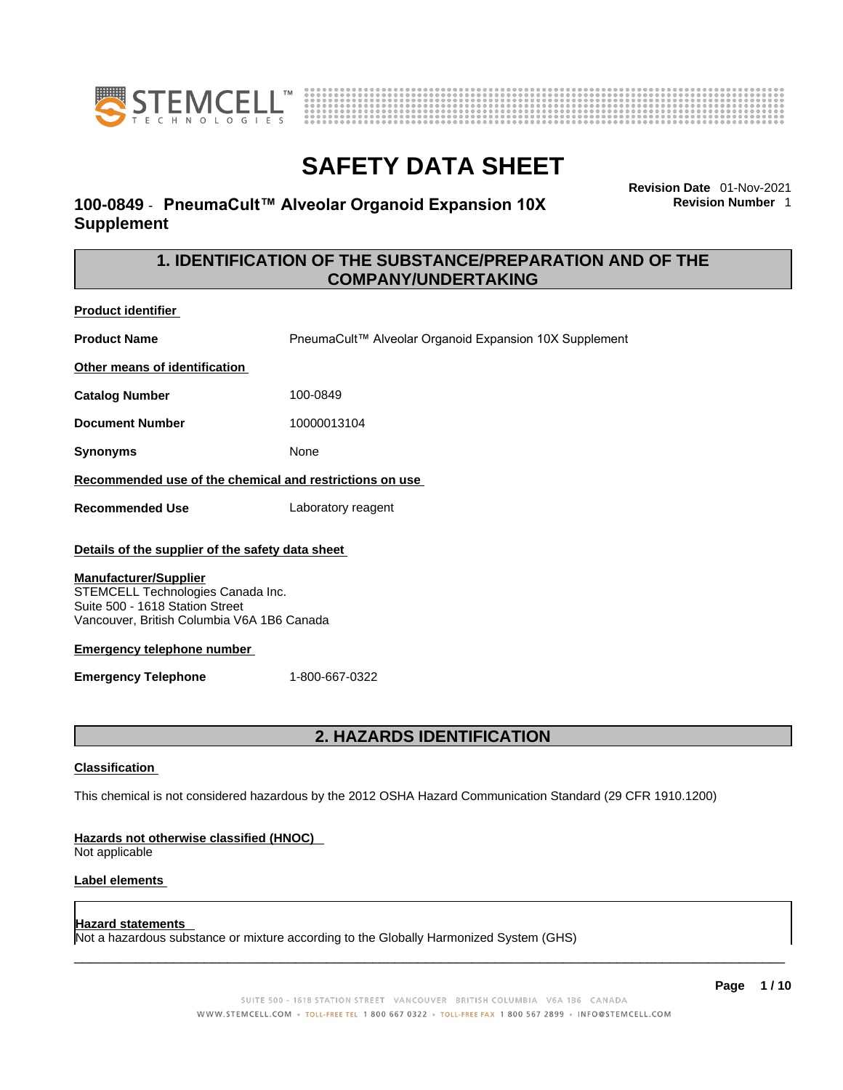



### **100-0849** - **PneumaCult™ Alveolar Organoid Expansion 10X Supplement**

**Revision Date** 01-Nov-2021 **Revision Number** 1

### **1. IDENTIFICATION OF THE SUBSTANCE/PREPARATION AND OF THE COMPANY/UNDERTAKING**

**Product identifier**

**Product Name Name** PneumaCult™ Alveolar Organoid Expansion 10X Supplement

**Other means of identification**

**Catalog Number** 100-0849

**Document Number** 10000013104

**Synonyms** None

### **Recommended use of the chemical and restrictions on use**

**Recommended Use** Laboratory reagent

### **Details of the supplier of the safety data sheet**

### **Manufacturer/Supplier**

STEMCELL Technologies Canada Inc. Suite 500 - 1618 Station Street Vancouver, British Columbia V6A 1B6 Canada

### **Emergency telephone number**

**Emergency Telephone** 1-800-667-0322

### **2. HAZARDS IDENTIFICATION**

### **Classification**

This chemical is not considered hazardous by the 2012 OSHA Hazard Communication Standard (29 CFR 1910.1200)

### **Hazards not otherwise classified (HNOC)**

Not applicable

### **Label elements**

### **Hazard statements**

Not a hazardous substance or mixture according to the Globally Harmonized System (GHS)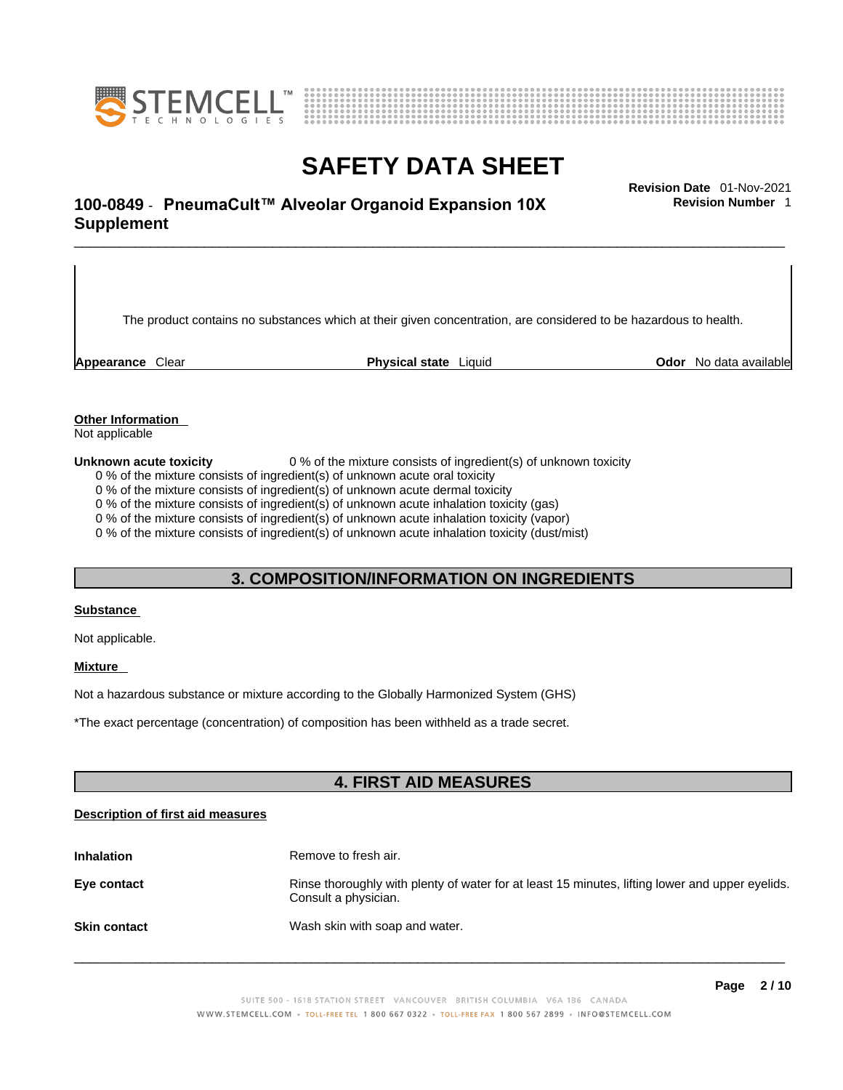



\_\_\_\_\_\_\_\_\_\_\_\_\_\_\_\_\_\_\_\_\_\_\_\_\_\_\_\_\_\_\_\_\_\_\_\_\_\_\_\_\_\_\_\_\_\_\_\_\_\_\_\_\_\_\_\_\_\_\_\_\_\_\_\_\_\_\_\_\_\_\_\_\_\_\_\_\_\_\_\_\_\_\_\_\_\_\_\_\_\_\_\_\_ **Revision Date** 01-Nov-2021 **100-0849** - **PneumaCult™ Alveolar Organoid Expansion 10X Supplement** 

The product contains no substances which at their given concentration, are considered to be hazardous to health.

**Appearance** Clear **Physical state** Liquid **Odor** No data available

**Revision Number** 1

**Other Information** 

Not applicable

**Unknown acute toxicity** 0 % of the mixture consists of ingredient(s) of unknown toxicity

0 % of the mixture consists of ingredient(s) of unknown acute oral toxicity

0 % of the mixture consists of ingredient(s) of unknown acute dermal toxicity

0 % of the mixture consists of ingredient(s) of unknown acute inhalation toxicity (gas)

0 % of the mixture consists of ingredient(s) of unknown acute inhalation toxicity (vapor)

0 % of the mixture consists of ingredient(s) of unknown acute inhalation toxicity (dust/mist)

### **3. COMPOSITION/INFORMATION ON INGREDIENTS**

### **Substance**

Not applicable.

### **Mixture**

Not a hazardous substance or mixture according to the Globally Harmonized System (GHS)

\*The exact percentage (concentration) ofcomposition has been withheld as a trade secret.

### **4. FIRST AID MEASURES**

### **Description of first aid measures**

| <b>Inhalation</b>   | Remove to fresh air.                                                                                                    |
|---------------------|-------------------------------------------------------------------------------------------------------------------------|
| Eye contact         | Rinse thoroughly with plenty of water for at least 15 minutes, lifting lower and upper eyelids.<br>Consult a physician. |
| <b>Skin contact</b> | Wash skin with soap and water.                                                                                          |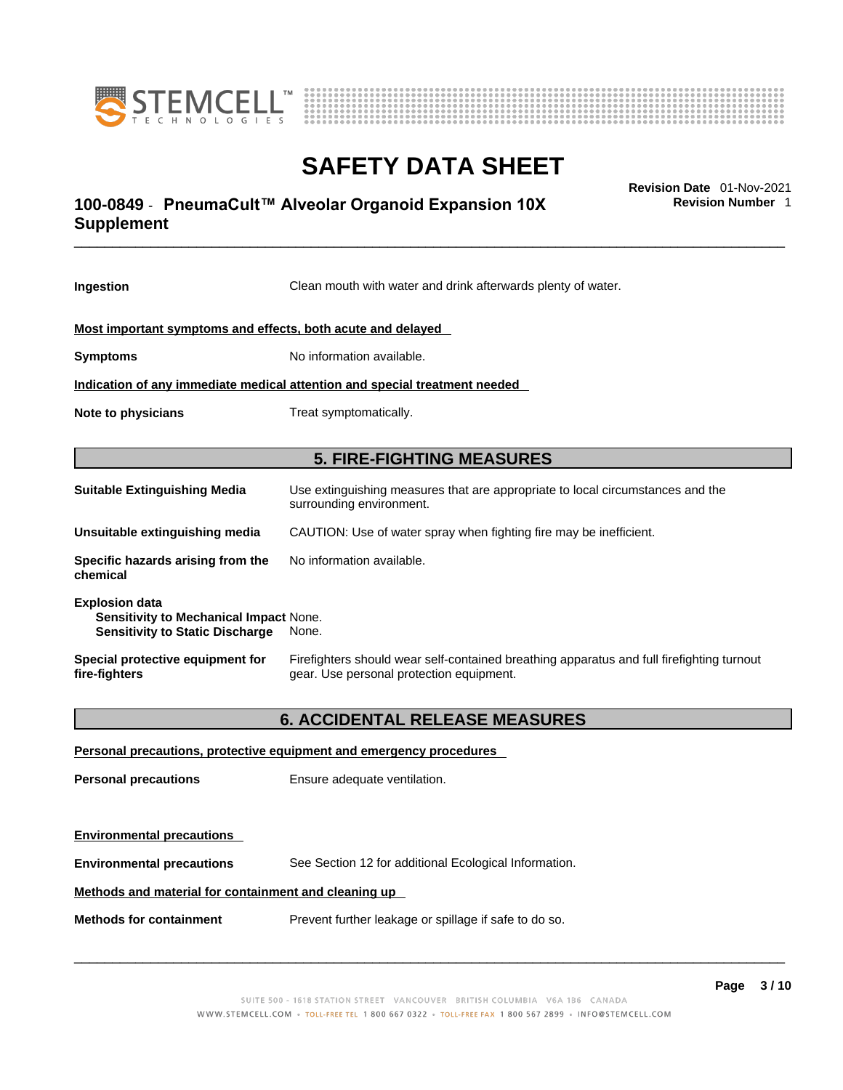



### \_\_\_\_\_\_\_\_\_\_\_\_\_\_\_\_\_\_\_\_\_\_\_\_\_\_\_\_\_\_\_\_\_\_\_\_\_\_\_\_\_\_\_\_\_\_\_\_\_\_\_\_\_\_\_\_\_\_\_\_\_\_\_\_\_\_\_\_\_\_\_\_\_\_\_\_\_\_\_\_\_\_\_\_\_\_\_\_\_\_\_\_\_ **Revision Date** 01-Nov-2021 **100-0849** - **PneumaCult™ Alveolar Organoid Expansion 10X Supplement**

**Ingestion** Clean mouth with water and drink afterwards plenty of water. **Most important symptoms and effects, both acute and delayed Symptoms** No information available. **Indication of any immediate medical attention and special treatment needed Note to physicians** Treat symptomatically. **5. FIRE-FIGHTING MEASURES Suitable Extinguishing Media** Use extinguishing measures that are appropriate to local circumstances and the surrounding environment. **Unsuitable extinguishing media** CAUTION: Use of water spray when fighting fire may be inefficient. **Specific hazards arising from the chemical** No information available. **Explosion data Sensitivity to Mechanical Impact** None. **Sensitivity to Static Discharge** None. **Special protective equipment for fire-fighters** Firefighters should wear self-contained breathing apparatus and full firefighting turnout gear. Use personal protection equipment. **6. ACCIDENTAL RELEASE MEASURES Personal precautions, protective equipment and emergency procedures**

**Personal precautions** Ensure adequate ventilation. **Environmental precautions Environmental precautions** See Section 12 for additional Ecological Information. **Methods and material for containment and cleaning up Methods for containment** Prevent further leakage or spillage if safe to do so.

 $\_$  ,  $\_$  ,  $\_$  ,  $\_$  ,  $\_$  ,  $\_$  ,  $\_$  ,  $\_$  ,  $\_$  ,  $\_$  ,  $\_$  ,  $\_$  ,  $\_$  ,  $\_$  ,  $\_$  ,  $\_$  ,  $\_$  ,  $\_$  ,  $\_$  ,  $\_$  ,  $\_$  ,  $\_$  ,  $\_$  ,  $\_$  ,  $\_$  ,  $\_$  ,  $\_$  ,  $\_$  ,  $\_$  ,  $\_$  ,  $\_$  ,  $\_$  ,  $\_$  ,  $\_$  ,  $\_$  ,  $\_$  ,  $\_$  ,

**Revision Number** 1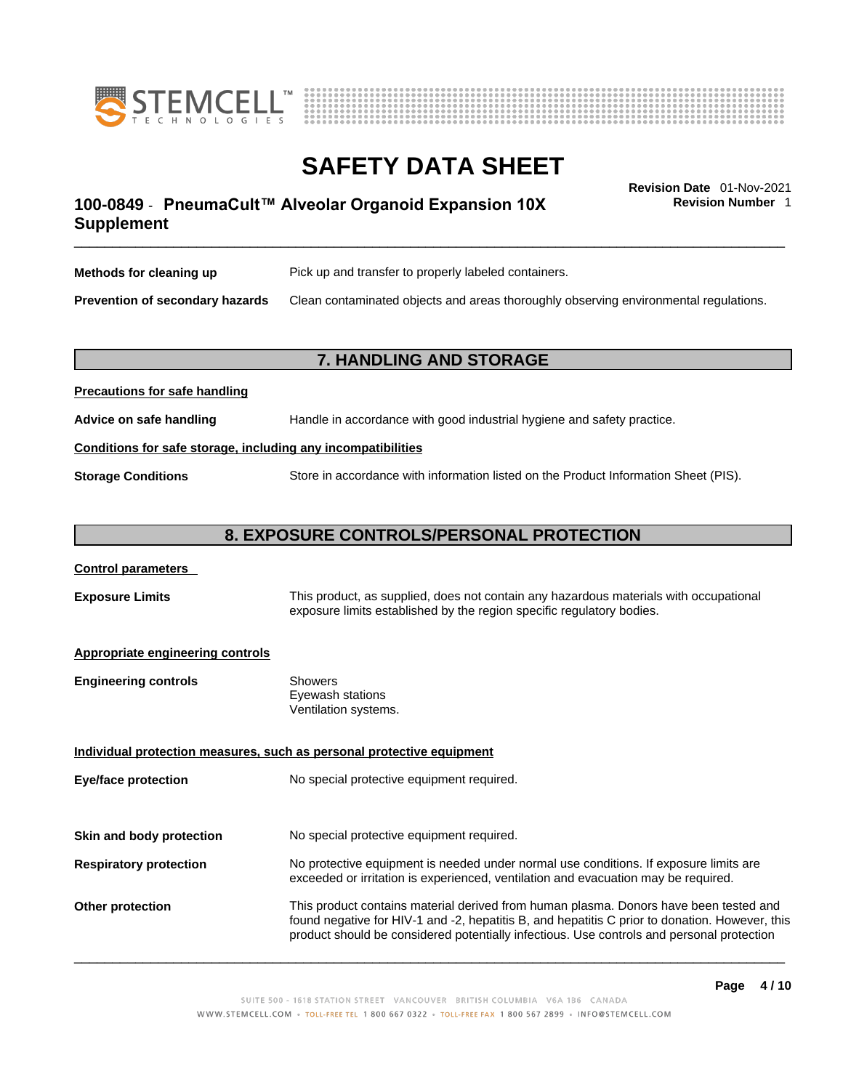



### \_\_\_\_\_\_\_\_\_\_\_\_\_\_\_\_\_\_\_\_\_\_\_\_\_\_\_\_\_\_\_\_\_\_\_\_\_\_\_\_\_\_\_\_\_\_\_\_\_\_\_\_\_\_\_\_\_\_\_\_\_\_\_\_\_\_\_\_\_\_\_\_\_\_\_\_\_\_\_\_\_\_\_\_\_\_\_\_\_\_\_\_\_ **Revision Date** 01-Nov-2021 **100-0849** - **PneumaCult™ Alveolar Organoid Expansion 10X Supplement**

**Revision Number** 1

| Methods for cleaning up                | Pick up and transfer to properly labeled containers.                                 |
|----------------------------------------|--------------------------------------------------------------------------------------|
| <b>Prevention of secondary hazards</b> | Clean contaminated objects and areas thoroughly observing environmental regulations. |

### **7. HANDLING AND STORAGE**

| <b>FIGURIOUS IOF SAIG HAHUIHIY</b>                           |                                                                                     |  |
|--------------------------------------------------------------|-------------------------------------------------------------------------------------|--|
| Advice on safe handling                                      | Handle in accordance with good industrial hygiene and safety practice.              |  |
| Conditions for safe storage, including any incompatibilities |                                                                                     |  |
| <b>Storage Conditions</b>                                    | Store in accordance with information listed on the Product Information Sheet (PIS). |  |

### **8. EXPOSURE CONTROLS/PERSONAL PROTECTION**

### **Control parameters**

**Precautions for safe handling**

**Exposure Limits** This product, as supplied, does not contain any hazardous materials with occupational exposure limits established by the region specific regulatory bodies.

### **Appropriate engineering controls**

| <b>Engineering controls</b> | Showers              |
|-----------------------------|----------------------|
|                             | Eyewash stations     |
|                             | Ventilation systems. |

**Individual protection measures, such as personal protective equipment Eye/face protection** No special protective equipment required.

**Skin and body protection** No special protective equipment required.

## **Respiratory protection** No protective equipment is needed under normal use conditions. If exposure limits are exceeded or irritation is experienced, ventilation and evacuation may be required.

**Other protection** This product contains material derived from human plasma. Donors have been tested and found negative for HIV-1 and -2, hepatitis B, and hepatitis C prior to donation. However, this product should be considered potentially infectious. Use controls and personal protection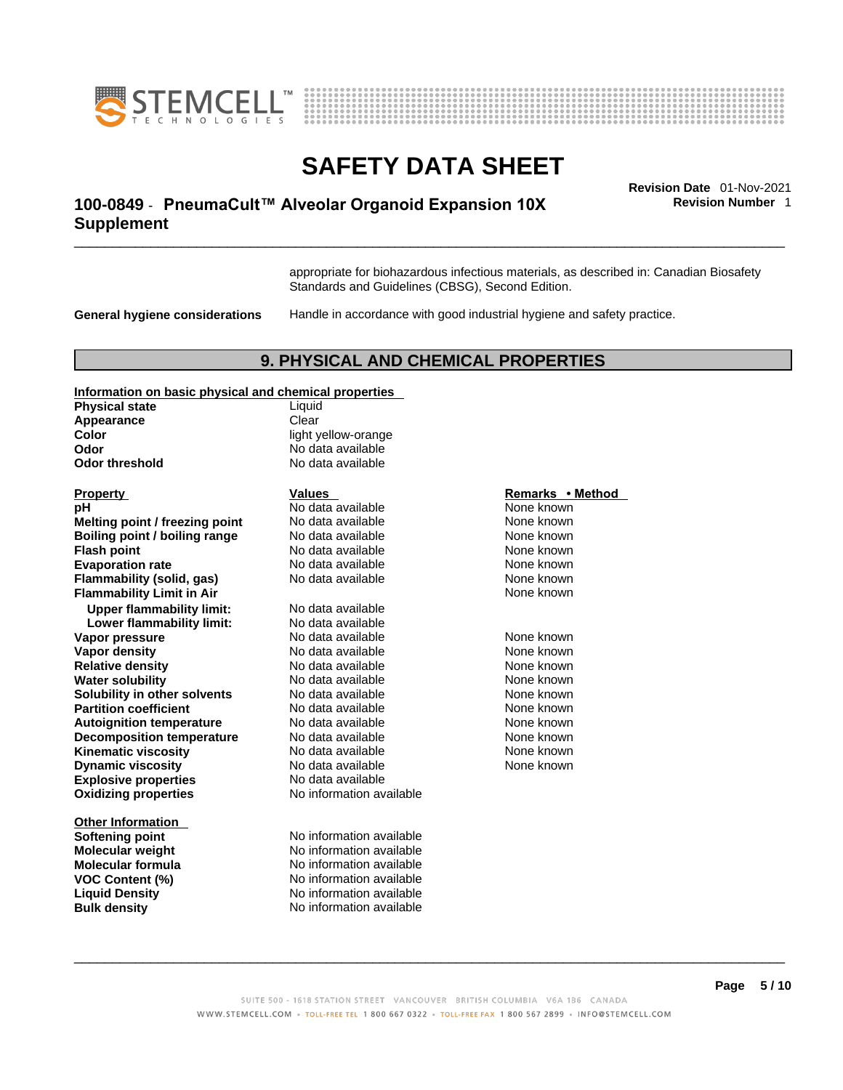



### \_\_\_\_\_\_\_\_\_\_\_\_\_\_\_\_\_\_\_\_\_\_\_\_\_\_\_\_\_\_\_\_\_\_\_\_\_\_\_\_\_\_\_\_\_\_\_\_\_\_\_\_\_\_\_\_\_\_\_\_\_\_\_\_\_\_\_\_\_\_\_\_\_\_\_\_\_\_\_\_\_\_\_\_\_\_\_\_\_\_\_\_\_ **Revision Date** 01-Nov-2021 **100-0849** - **PneumaCult™ Alveolar Organoid Expansion 10X Supplement**

**Revision Number** 1

appropriate for biohazardous infectious materials, as described in: Canadian Biosafety Standards and Guidelines (CBSG), Second Edition.

**General hygiene considerations** Handle in accordance with good industrial hygiene and safety practice.

### **9. PHYSICAL AND CHEMICAL PROPERTIES**

#### **Information on basic physical and chemical properties**

| <b>Physical state</b>            | Liquid                   |                  |
|----------------------------------|--------------------------|------------------|
| Appearance                       | Clear                    |                  |
| Color                            | light yellow-orange      |                  |
| Odor                             | No data available        |                  |
| <b>Odor threshold</b>            | No data available        |                  |
| <b>Property</b>                  | <b>Values</b>            | Remarks • Method |
| рH                               | No data available        | None known       |
| Melting point / freezing point   | No data available        | None known       |
| Boiling point / boiling range    | No data available        | None known       |
| <b>Flash point</b>               | No data available        | None known       |
| <b>Evaporation rate</b>          | No data available        | None known       |
| Flammability (solid, gas)        | No data available        | None known       |
| <b>Flammability Limit in Air</b> |                          | None known       |
| <b>Upper flammability limit:</b> | No data available        |                  |
| Lower flammability limit:        | No data available        |                  |
| Vapor pressure                   | No data available        | None known       |
| <b>Vapor density</b>             | No data available        | None known       |
| <b>Relative density</b>          | No data available        | None known       |
| <b>Water solubility</b>          | No data available        | None known       |
| Solubility in other solvents     | No data available        | None known       |
| <b>Partition coefficient</b>     | No data available        | None known       |
| <b>Autoignition temperature</b>  | No data available        | None known       |
| <b>Decomposition temperature</b> | No data available        | None known       |
| <b>Kinematic viscosity</b>       | No data available        | None known       |
| <b>Dynamic viscosity</b>         | No data available        | None known       |
| <b>Explosive properties</b>      | No data available        |                  |
| <b>Oxidizing properties</b>      | No information available |                  |
| <b>Other Information</b>         |                          |                  |
| <b>Softening point</b>           | No information available |                  |
| <b>Molecular weight</b>          | No information available |                  |
| Molecular formula                | No information available |                  |
| <b>VOC Content (%)</b>           | No information available |                  |
| <b>Liquid Density</b>            | No information available |                  |

**Bulk density No information available** 

vellow-orange lata available **lata available** 

### **Property Constraints Property Remarks • Method**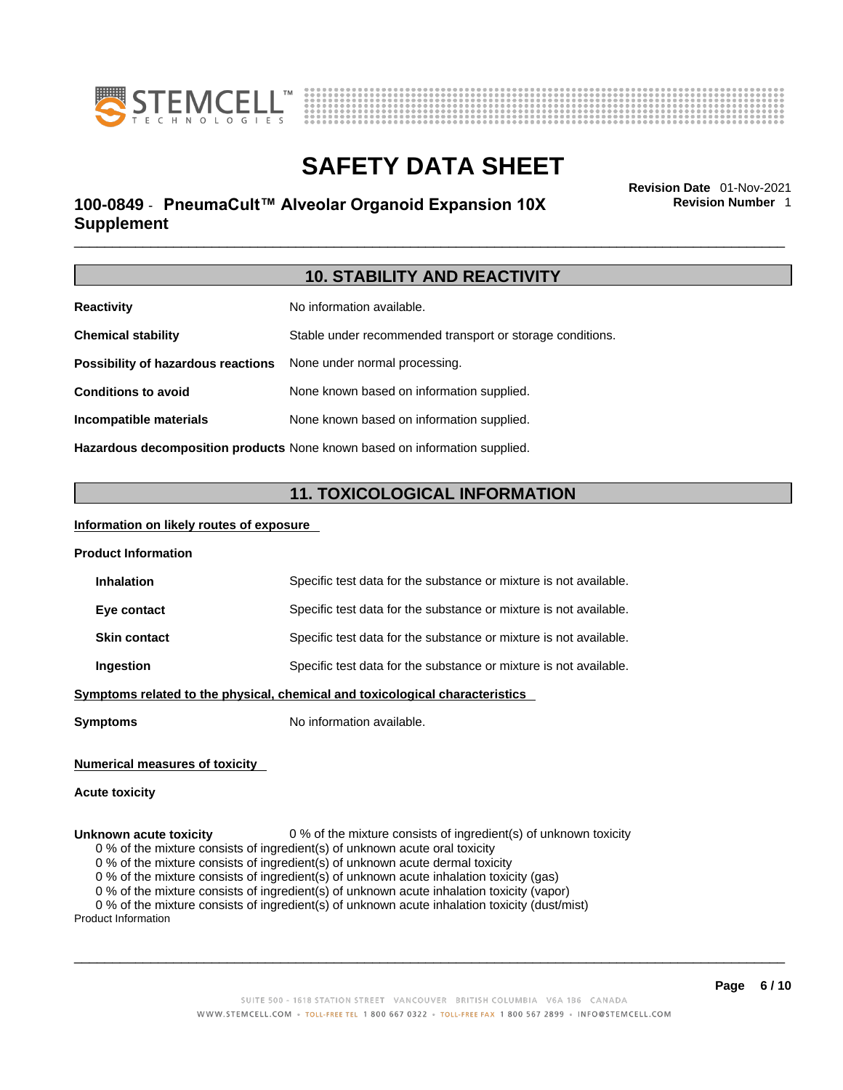



### \_\_\_\_\_\_\_\_\_\_\_\_\_\_\_\_\_\_\_\_\_\_\_\_\_\_\_\_\_\_\_\_\_\_\_\_\_\_\_\_\_\_\_\_\_\_\_\_\_\_\_\_\_\_\_\_\_\_\_\_\_\_\_\_\_\_\_\_\_\_\_\_\_\_\_\_\_\_\_\_\_\_\_\_\_\_\_\_\_\_\_\_\_ **Revision Date** 01-Nov-2021 **100-0849** - **PneumaCult™ Alveolar Organoid Expansion 10X Supplement**

**Revision Number** 1

| <b>10. STABILITY AND REACTIVITY</b>                                               |                                                           |
|-----------------------------------------------------------------------------------|-----------------------------------------------------------|
| <b>Reactivity</b>                                                                 | No information available.                                 |
| <b>Chemical stability</b>                                                         | Stable under recommended transport or storage conditions. |
| Possibility of hazardous reactions                                                | None under normal processing.                             |
| <b>Conditions to avoid</b>                                                        | None known based on information supplied.                 |
| Incompatible materials                                                            | None known based on information supplied.                 |
| <b>Hazardous decomposition products</b> None known based on information supplied. |                                                           |

### **11. TOXICOLOGICAL INFORMATION**

### **Information on likely routes of exposure**

| <b>Product Information</b>                                                   |                                                                   |  |
|------------------------------------------------------------------------------|-------------------------------------------------------------------|--|
| <b>Inhalation</b>                                                            | Specific test data for the substance or mixture is not available. |  |
| Eye contact                                                                  | Specific test data for the substance or mixture is not available. |  |
| <b>Skin contact</b>                                                          | Specific test data for the substance or mixture is not available. |  |
| Ingestion                                                                    | Specific test data for the substance or mixture is not available. |  |
| Symptoms related to the physical, chemical and toxicological characteristics |                                                                   |  |
|                                                                              |                                                                   |  |

**Symptoms** No information available.

### **Numerical measures of toxicity**

### **Acute toxicity**

### **Unknown acute toxicity** 0 % of the mixture consists of ingredient(s) of unknown toxicity

0 % of the mixture consists of ingredient(s) of unknown acute oral toxicity

0 % of the mixture consists of ingredient(s) of unknown acute dermal toxicity

0 % of the mixture consists of ingredient(s) of unknown acute inhalation toxicity (gas)

0 % of the mixture consists of ingredient(s) of unknown acute inhalation toxicity (vapor)

0 % of the mixture consists of ingredient(s) of unknown acute inhalation toxicity (dust/mist)

Product Information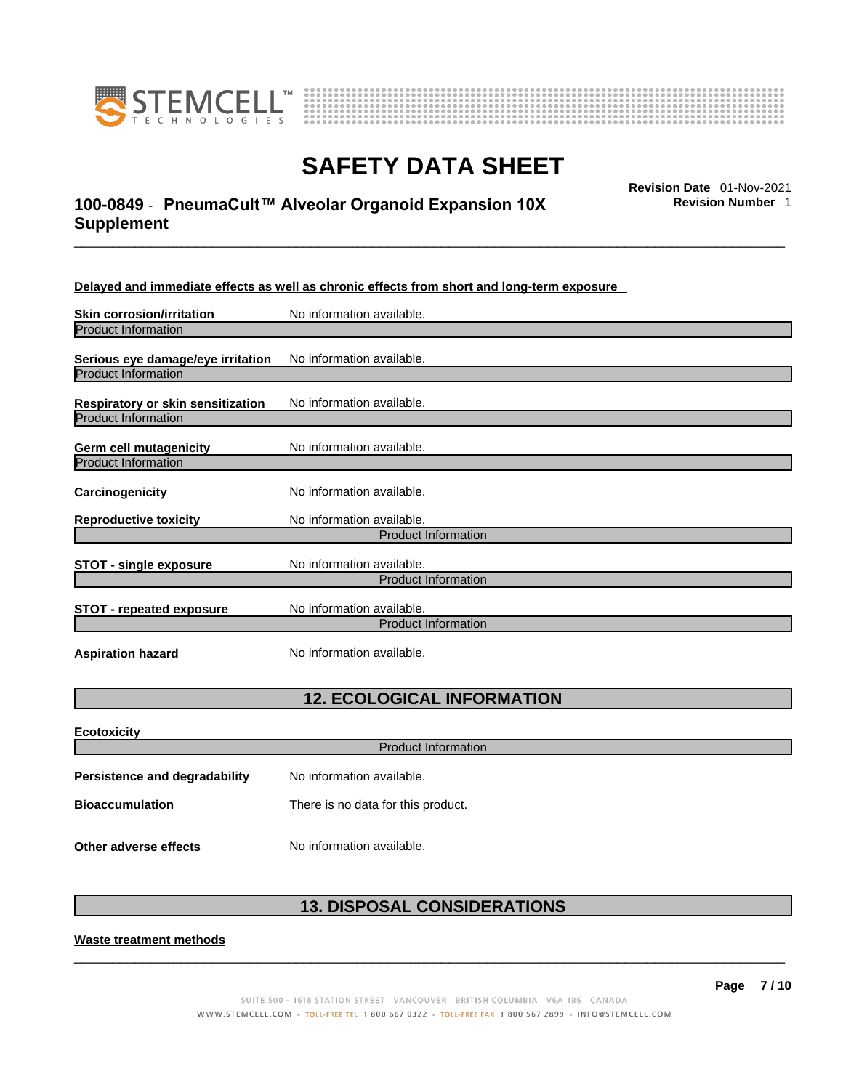



### \_\_\_\_\_\_\_\_\_\_\_\_\_\_\_\_\_\_\_\_\_\_\_\_\_\_\_\_\_\_\_\_\_\_\_\_\_\_\_\_\_\_\_\_\_\_\_\_\_\_\_\_\_\_\_\_\_\_\_\_\_\_\_\_\_\_\_\_\_\_\_\_\_\_\_\_\_\_\_\_\_\_\_\_\_\_\_\_\_\_\_\_\_ **Revision Date** 01-Nov-2021 **100-0849** - **PneumaCult™ Alveolar Organoid Expansion 10X Supplement**

**Revision Number** 1

**Delayed and immediate effects as well as chronic effects from short and long-term exposure**

| <b>Skin corrosion/irritation</b>                                | No information available.                               |
|-----------------------------------------------------------------|---------------------------------------------------------|
| <b>Product Information</b>                                      |                                                         |
| Serious eye damage/eye irritation<br><b>Product Information</b> | No information available.                               |
| Respiratory or skin sensitization                               | No information available.                               |
| <b>Product Information</b>                                      |                                                         |
| Germ cell mutagenicity                                          | No information available.                               |
| <b>Product Information</b>                                      |                                                         |
| Carcinogenicity                                                 | No information available.                               |
| <b>Reproductive toxicity</b>                                    | No information available.                               |
|                                                                 | <b>Product Information</b>                              |
| <b>STOT - single exposure</b>                                   | No information available.<br><b>Product Information</b> |
|                                                                 |                                                         |
| <b>STOT - repeated exposure</b>                                 | No information available.                               |
|                                                                 | <b>Product Information</b>                              |
| <b>Aspiration hazard</b>                                        | No information available.                               |

### **12. ECOLOGICAL INFORMATION**

| <b>Ecotoxicity</b>            |                                    |  |
|-------------------------------|------------------------------------|--|
| <b>Product Information</b>    |                                    |  |
| Persistence and degradability | No information available.          |  |
| <b>Bioaccumulation</b>        | There is no data for this product. |  |
| Other adverse effects         | No information available.          |  |

### **13. DISPOSAL CONSIDERATIONS**

 $\_$  ,  $\_$  ,  $\_$  ,  $\_$  ,  $\_$  ,  $\_$  ,  $\_$  ,  $\_$  ,  $\_$  ,  $\_$  ,  $\_$  ,  $\_$  ,  $\_$  ,  $\_$  ,  $\_$  ,  $\_$  ,  $\_$  ,  $\_$  ,  $\_$  ,  $\_$  ,  $\_$  ,  $\_$  ,  $\_$  ,  $\_$  ,  $\_$  ,  $\_$  ,  $\_$  ,  $\_$  ,  $\_$  ,  $\_$  ,  $\_$  ,  $\_$  ,  $\_$  ,  $\_$  ,  $\_$  ,  $\_$  ,  $\_$  ,

**Waste treatment methods**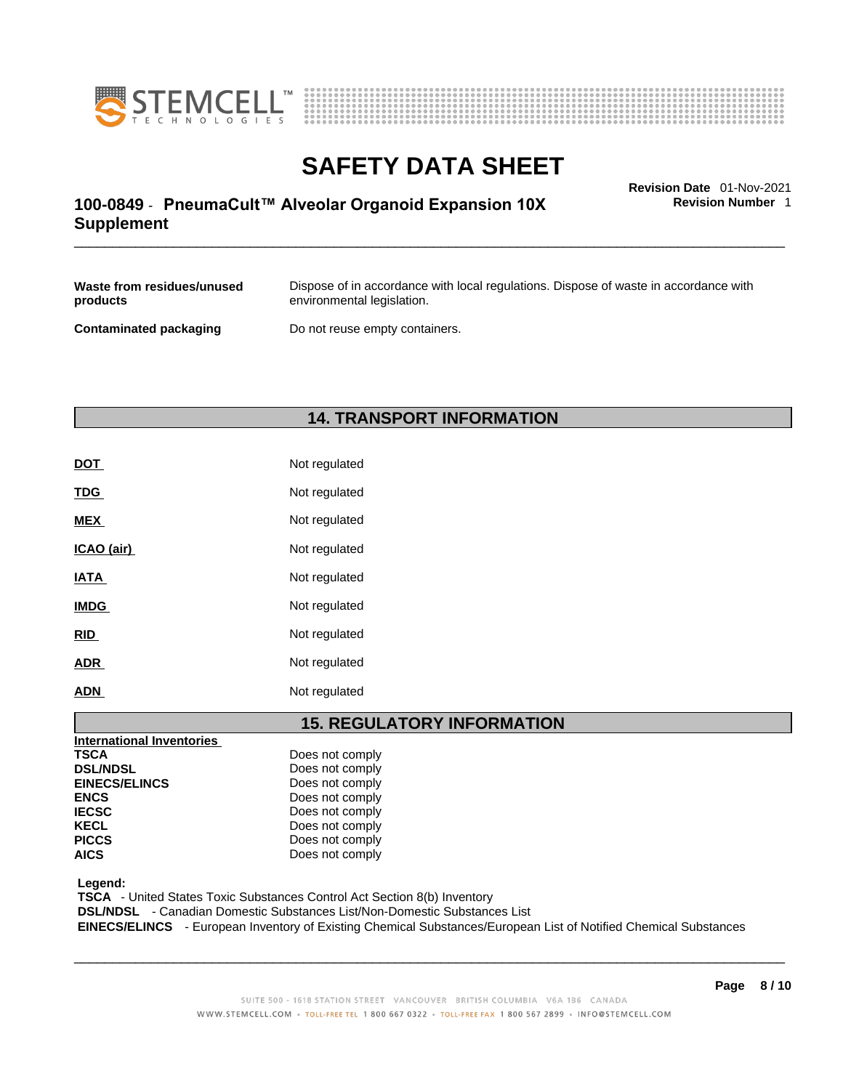



### \_\_\_\_\_\_\_\_\_\_\_\_\_\_\_\_\_\_\_\_\_\_\_\_\_\_\_\_\_\_\_\_\_\_\_\_\_\_\_\_\_\_\_\_\_\_\_\_\_\_\_\_\_\_\_\_\_\_\_\_\_\_\_\_\_\_\_\_\_\_\_\_\_\_\_\_\_\_\_\_\_\_\_\_\_\_\_\_\_\_\_\_\_ **Revision Date** 01-Nov-2021 **100-0849** - **PneumaCult™ Alveolar Organoid Expansion 10X Supplement**

**Revision Number** 1

| Waste from residues/unused | Dispose of in accordance with local regulations. Dispose of waste in accordance with |
|----------------------------|--------------------------------------------------------------------------------------|
| products                   | environmental legislation.                                                           |
| Contaminated packaging     | Do not reuse empty containers.                                                       |

### **14. TRANSPORT INFORMATION**

| <b>DOT</b>  | Not regulated |
|-------------|---------------|
| <b>TDG</b>  | Not regulated |
| <b>MEX</b>  | Not regulated |
| ICAO (air)  | Not regulated |
| <b>IATA</b> | Not regulated |
| <b>IMDG</b> | Not regulated |
| <b>RID</b>  | Not regulated |
| <b>ADR</b>  | Not regulated |
| <b>ADN</b>  | Not regulated |

### **15. REGULATORY INFORMATION**

| Does not comply |
|-----------------|
| Does not comply |
| Does not comply |
| Does not comply |
| Does not comply |
| Does not comply |
| Does not comply |
| Does not comply |
|                 |

 **Legend:** 

 **TSCA** - United States Toxic Substances Control Act Section 8(b) Inventory

 **DSL/NDSL** - Canadian Domestic Substances List/Non-Domestic Substances List

 **EINECS/ELINCS** - European Inventory of Existing Chemical Substances/European List of Notified Chemical Substances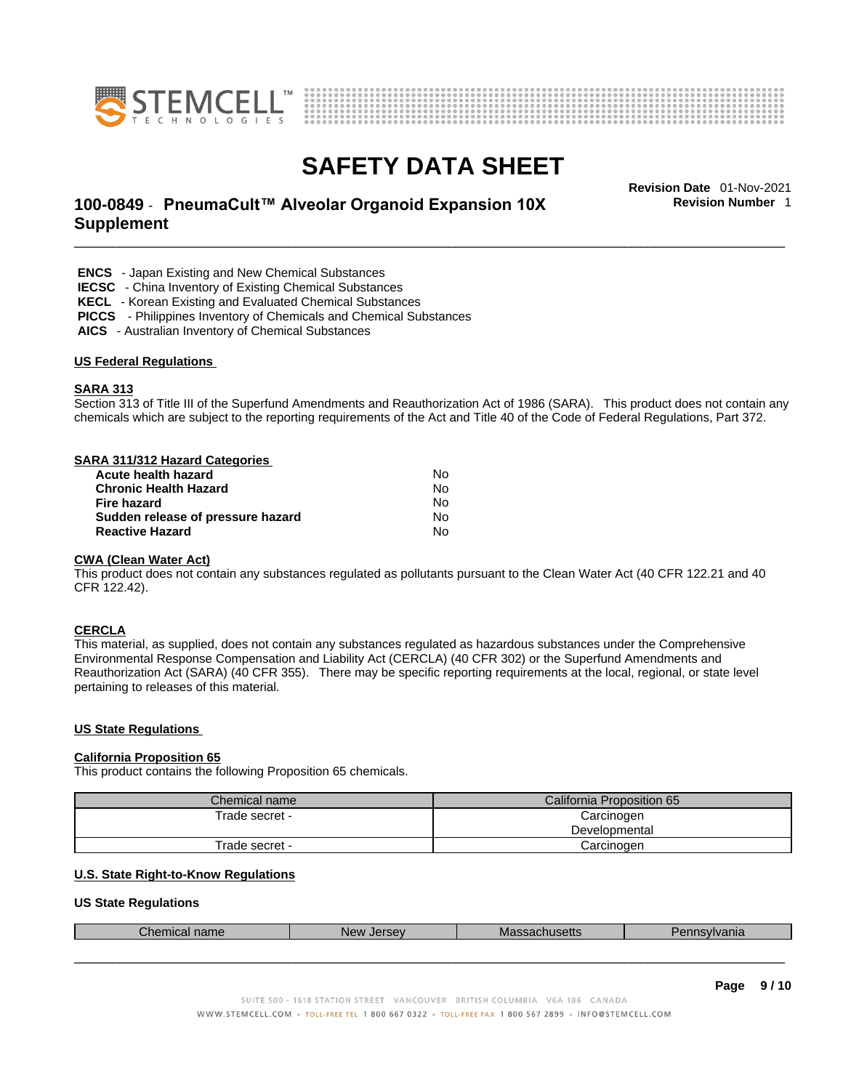



### \_\_\_\_\_\_\_\_\_\_\_\_\_\_\_\_\_\_\_\_\_\_\_\_\_\_\_\_\_\_\_\_\_\_\_\_\_\_\_\_\_\_\_\_\_\_\_\_\_\_\_\_\_\_\_\_\_\_\_\_\_\_\_\_\_\_\_\_\_\_\_\_\_\_\_\_\_\_\_\_\_\_\_\_\_\_\_\_\_\_\_\_\_ **Revision Date** 01-Nov-2021 **100-0849** - **PneumaCult™ Alveolar Organoid Expansion 10X Supplement**

**Revision Number** 1

 **ENCS** - Japan Existing and New Chemical Substances

 **IECSC** - China Inventory of Existing Chemical Substances

 **KECL** - Korean Existing and Evaluated Chemical Substances

 **PICCS** - Philippines Inventory of Chemicals and Chemical Substances

 **AICS** - Australian Inventory of Chemical Substances

#### **US Federal Regulations**

### **SARA 313**

Section 313 of Title III of the Superfund Amendments and Reauthorization Act of 1986 (SARA). This product does not contain any chemicals which are subject to the reporting requirements of the Act and Title 40 of the Code of Federal Regulations, Part 372.

#### **SARA 311/312 Hazard Categories**

| Acute health hazard               | N٥ |  |
|-----------------------------------|----|--|
| <b>Chronic Health Hazard</b>      | N٥ |  |
| Fire hazard                       | N٥ |  |
| Sudden release of pressure hazard | N٥ |  |
| <b>Reactive Hazard</b>            | No |  |

#### **CWA** (Clean Water Act)

This product does not contain any substances regulated as pollutants pursuant to the Clean Water Act (40 CFR 122.21 and 40 CFR 122.42).

#### **CERCLA**

This material, as supplied, does not contain any substances regulated as hazardous substances under the Comprehensive Environmental Response Compensation and Liability Act (CERCLA) (40 CFR 302) or the Superfund Amendments and Reauthorization Act (SARA) (40 CFR 355). There may be specific reporting requirements at the local, regional, or state level pertaining to releases of this material.

#### **US State Regulations**

#### **California Proposition 65**

This product contains the following Proposition 65 chemicals.

| Chemical name  | California Proposition 65 |  |
|----------------|---------------------------|--|
| Trade secret - | Carcinogen                |  |
|                | Developmental             |  |
| Trade secret - | Carcinogen                |  |

### **U.S. State Right-to-Know Regulations**

#### **US State Regulations**

| $\sim$<br>$n \wedge r$<br>$\sim$<br>nanie<br>шы | Ne<br>.<br>эc | unuseus | ана |
|-------------------------------------------------|---------------|---------|-----|
|                                                 |               |         |     |
|                                                 |               |         |     |